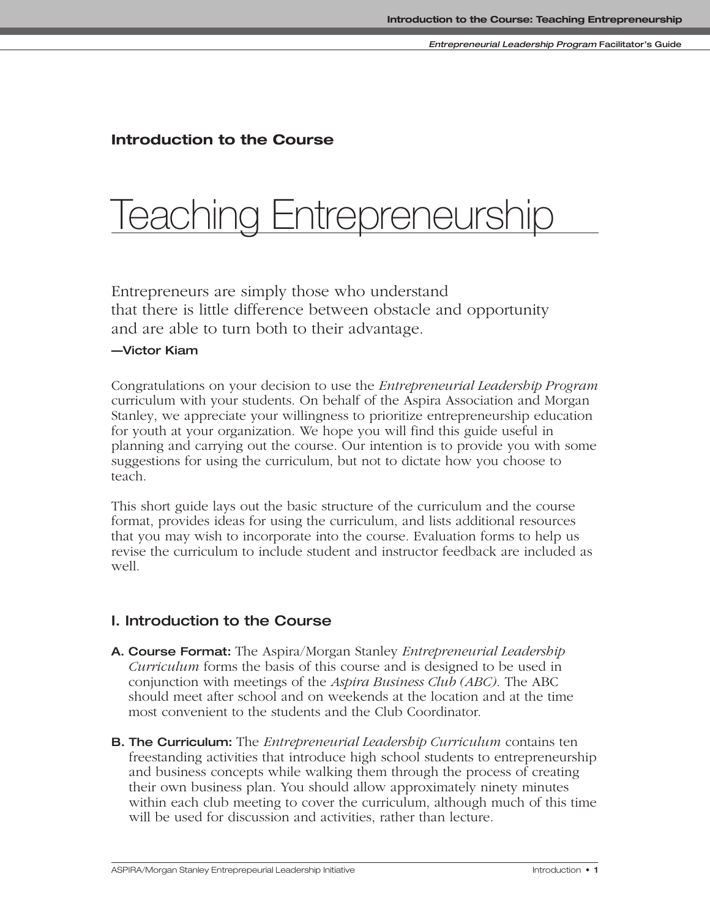# **Introduction to the Course**

# Teaching Entrepreneursh

Entrepreneurs are simply those who understand that there is little difference between obstacle and opportunity and are able to turn both to their advantage.

## **—Victor Kiam**

Congratulations on your decision to use the *Entrepreneurial Leadership Program* curriculum with your students. On behalf of the Aspira Association and Morgan Stanley, we appreciate your willingness to prioritize entrepreneurship education for youth at your organization. We hope you will find this guide useful in planning and carrying out the course. Our intention is to provide you with some suggestions for using the curriculum, but not to dictate how you choose to teach.

This short guide lays out the basic structure of the curriculum and the course format, provides ideas for using the curriculum, and lists additional resources that you may wish to incorporate into the course. Evaluation forms to help us revise the curriculum to include student and instructor feedback are included as well.

# **I. Introduction to the Course**

- **A. Course Format:** The Aspira/Morgan Stanley *Entrepreneurial Leadership Curriculum* forms the basis of this course and is designed to be used in conjunction with meetings of the *Aspira Business Club (ABC)*. The ABC should meet after school and on weekends at the location and at the time most convenient to the students and the Club Coordinator.
- **B. The Curriculum:** The *Entrepreneurial Leadership Curriculum* contains ten freestanding activities that introduce high school students to entrepreneurship and business concepts while walking them through the process of creating their own business plan. You should allow approximately ninety minutes within each club meeting to cover the curriculum, although much of this time will be used for discussion and activities, rather than lecture.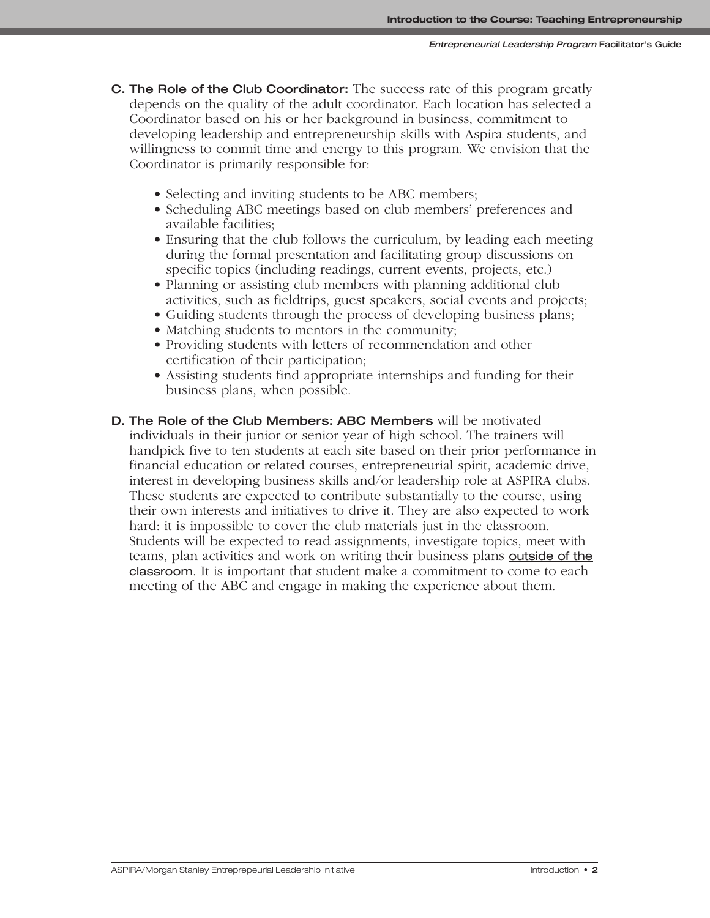- **C. The Role of the Club Coordinator:** The success rate of this program greatly depends on the quality of the adult coordinator. Each location has selected a Coordinator based on his or her background in business, commitment to developing leadership and entrepreneurship skills with Aspira students, and willingness to commit time and energy to this program. We envision that the Coordinator is primarily responsible for:
	- Selecting and inviting students to be ABC members;
	- Scheduling ABC meetings based on club members' preferences and available facilities;
	- Ensuring that the club follows the curriculum, by leading each meeting during the formal presentation and facilitating group discussions on specific topics (including readings, current events, projects, etc.)
	- Planning or assisting club members with planning additional club activities, such as fieldtrips, guest speakers, social events and projects;
	- Guiding students through the process of developing business plans;
	- Matching students to mentors in the community;
	- Providing students with letters of recommendation and other certification of their participation;
	- Assisting students find appropriate internships and funding for their business plans, when possible.
- **D. The Role of the Club Members: ABC Members** will be motivated individuals in their junior or senior year of high school. The trainers will handpick five to ten students at each site based on their prior performance in financial education or related courses, entrepreneurial spirit, academic drive, interest in developing business skills and/or leadership role at ASPIRA clubs. These students are expected to contribute substantially to the course, using their own interests and initiatives to drive it. They are also expected to work hard: it is impossible to cover the club materials just in the classroom. Students will be expected to read assignments, investigate topics, meet with teams, plan activities and work on writing their business plans outside of the classroom. It is important that student make a commitment to come to each meeting of the ABC and engage in making the experience about them.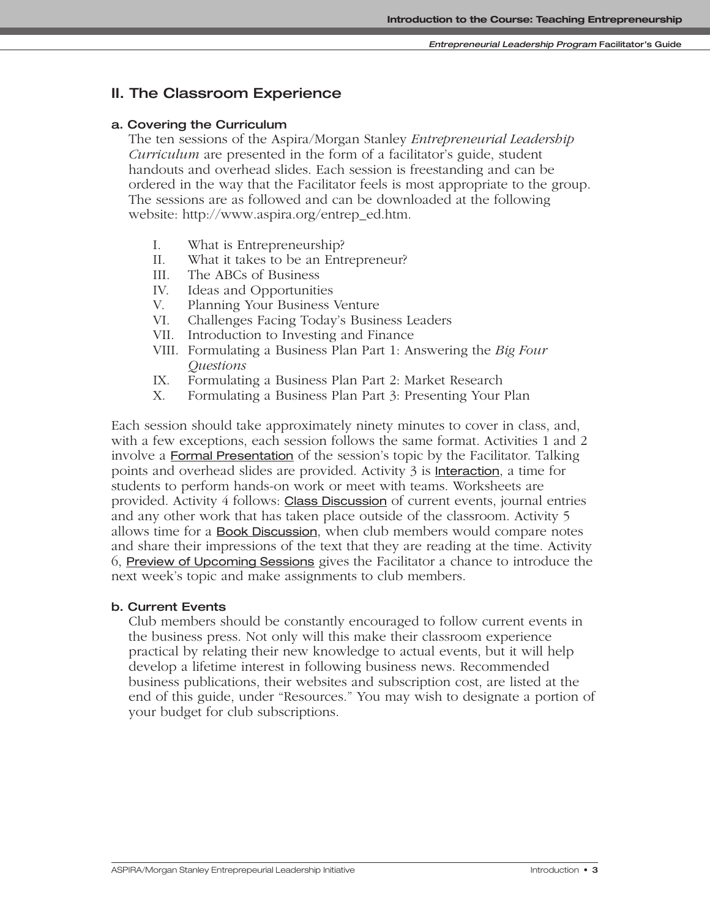# **II. The Classroom Experience**

#### **a. Covering the Curriculum**

The ten sessions of the Aspira/Morgan Stanley *Entrepreneurial Leadership Curriculum* are presented in the form of a facilitator's guide, student handouts and overhead slides. Each session is freestanding and can be ordered in the way that the Facilitator feels is most appropriate to the group. The sessions are as followed and can be downloaded at the following website: http://www.aspira.org/entrep\_ed.htm.

- I. What is Entrepreneurship?
- II. What it takes to be an Entrepreneur?
- III. The ABCs of Business
- IV. Ideas and Opportunities
- V. Planning Your Business Venture
- VI. Challenges Facing Today's Business Leaders
- VII. Introduction to Investing and Finance
- VIII. Formulating a Business Plan Part 1: Answering the *Big Four Questions*
- IX. Formulating a Business Plan Part 2: Market Research
- X. Formulating a Business Plan Part 3: Presenting Your Plan

Each session should take approximately ninety minutes to cover in class, and, with a few exceptions, each session follows the same format. Activities 1 and 2 involve a **Formal Presentation** of the session's topic by the Facilitator. Talking points and overhead slides are provided. Activity 3 is Interaction, a time for students to perform hands-on work or meet with teams. Worksheets are provided. Activity 4 follows: Class Discussion of current events, journal entries and any other work that has taken place outside of the classroom. Activity 5 allows time for a Book Discussion, when club members would compare notes and share their impressions of the text that they are reading at the time. Activity 6, Preview of Upcoming Sessions gives the Facilitator a chance to introduce the next week's topic and make assignments to club members.

#### **b. Current Events**

Club members should be constantly encouraged to follow current events in the business press. Not only will this make their classroom experience practical by relating their new knowledge to actual events, but it will help develop a lifetime interest in following business news. Recommended business publications, their websites and subscription cost, are listed at the end of this guide, under "Resources." You may wish to designate a portion of your budget for club subscriptions.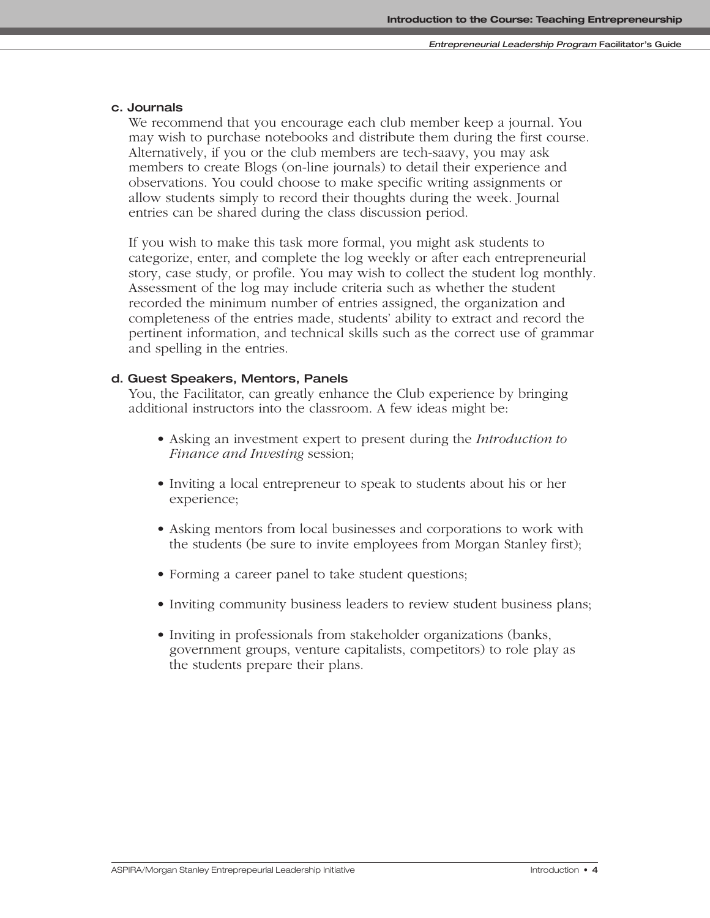#### **c. Journals**

We recommend that you encourage each club member keep a journal. You may wish to purchase notebooks and distribute them during the first course. Alternatively, if you or the club members are tech-saavy, you may ask members to create Blogs (on-line journals) to detail their experience and observations. You could choose to make specific writing assignments or allow students simply to record their thoughts during the week. Journal entries can be shared during the class discussion period.

If you wish to make this task more formal, you might ask students to categorize, enter, and complete the log weekly or after each entrepreneurial story, case study, or profile. You may wish to collect the student log monthly. Assessment of the log may include criteria such as whether the student recorded the minimum number of entries assigned, the organization and completeness of the entries made, students' ability to extract and record the pertinent information, and technical skills such as the correct use of grammar and spelling in the entries.

#### **d. Guest Speakers, Mentors, Panels**

You, the Facilitator, can greatly enhance the Club experience by bringing additional instructors into the classroom. A few ideas might be:

- Asking an investment expert to present during the *Introduction to Finance and Investing* session;
- Inviting a local entrepreneur to speak to students about his or her experience;
- Asking mentors from local businesses and corporations to work with the students (be sure to invite employees from Morgan Stanley first);
- Forming a career panel to take student questions;
- Inviting community business leaders to review student business plans;
- Inviting in professionals from stakeholder organizations (banks, government groups, venture capitalists, competitors) to role play as the students prepare their plans.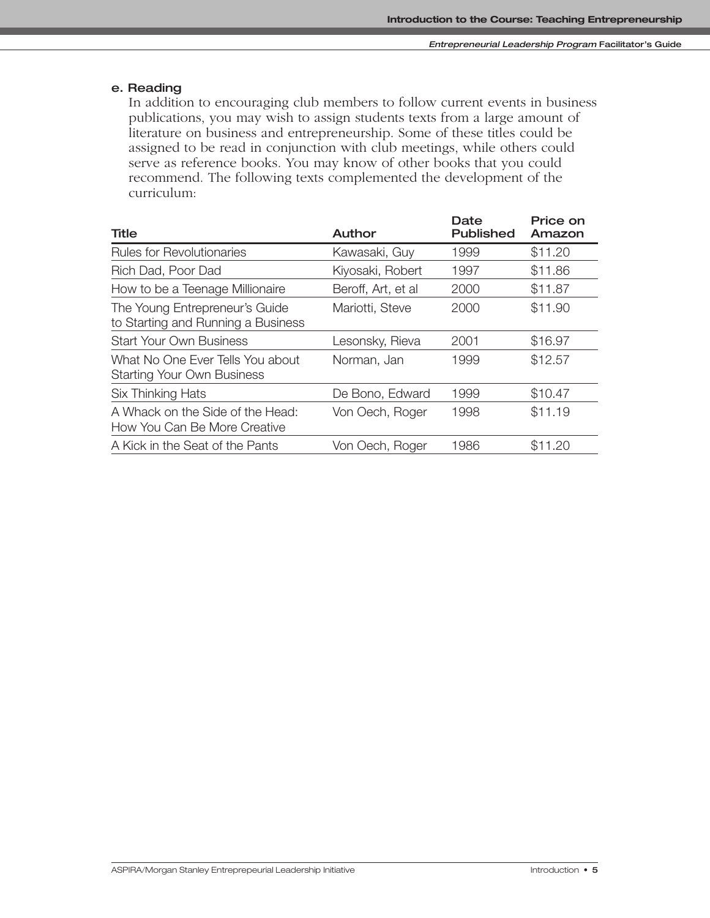### **e. Reading**

In addition to encouraging club members to follow current events in business publications, you may wish to assign students texts from a large amount of literature on business and entrepreneurship. Some of these titles could be assigned to be read in conjunction with club meetings, while others could serve as reference books. You may know of other books that you could recommend. The following texts complemented the development of the curriculum:

| Author             | Date<br><b>Published</b> | Price on<br>Amazon |
|--------------------|--------------------------|--------------------|
| Kawasaki, Guy      | 1999                     | \$11.20            |
| Kiyosaki, Robert   | 1997                     | \$11.86            |
| Beroff, Art, et al | 2000                     | \$11.87            |
| Mariotti, Steve    | 2000                     | \$11.90            |
| Lesonsky, Rieva    | 2001                     | \$16.97            |
| Norman, Jan        | 1999                     | \$12.57            |
| De Bono, Edward    | 1999                     | \$10.47            |
| Von Oech, Roger    | 1998                     | \$11.19            |
| Von Oech, Roger    | 1986                     | \$11.20            |
|                    |                          |                    |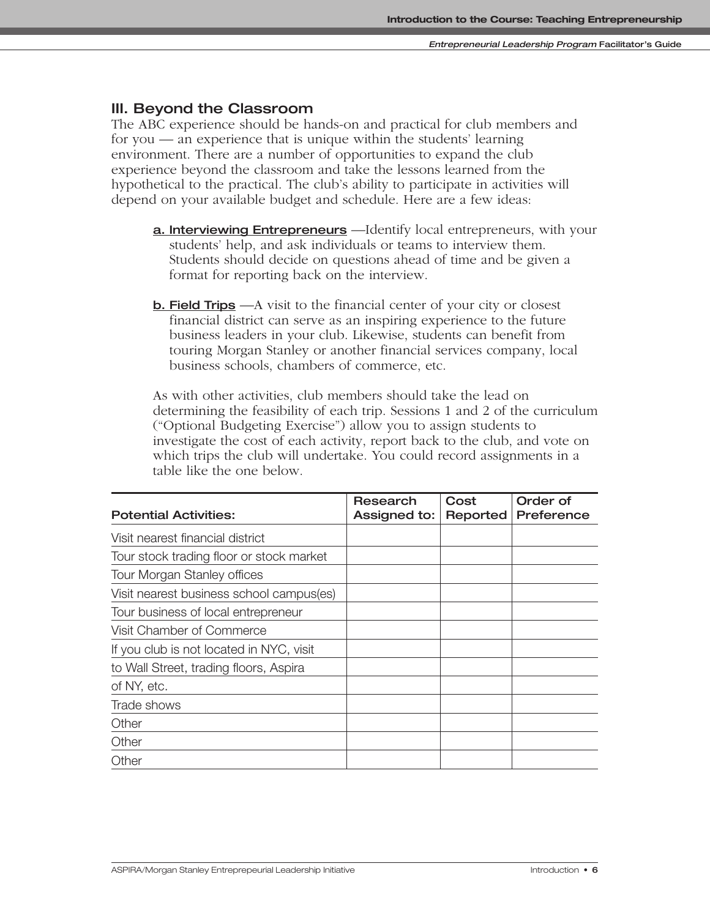# **III. Beyond the Classroom**

The ABC experience should be hands-on and practical for club members and for you — an experience that is unique within the students' learning environment. There are a number of opportunities to expand the club experience beyond the classroom and take the lessons learned from the hypothetical to the practical. The club's ability to participate in activities will depend on your available budget and schedule. Here are a few ideas:

- **a. Interviewing Entrepreneurs** —Identify local entrepreneurs, with your students' help, and ask individuals or teams to interview them. Students should decide on questions ahead of time and be given a format for reporting back on the interview.
- **b. Field Trips** —A visit to the financial center of your city or closest financial district can serve as an inspiring experience to the future business leaders in your club. Likewise, students can benefit from touring Morgan Stanley or another financial services company, local business schools, chambers of commerce, etc.

As with other activities, club members should take the lead on determining the feasibility of each trip. Sessions 1 and 2 of the curriculum ("Optional Budgeting Exercise") allow you to assign students to investigate the cost of each activity, report back to the club, and vote on which trips the club will undertake. You could record assignments in a table like the one below.

| <b>Potential Activities:</b>             | Research<br>Assigned to: | Cost<br>Reported | Order of<br>Preference |
|------------------------------------------|--------------------------|------------------|------------------------|
| Visit nearest financial district         |                          |                  |                        |
| Tour stock trading floor or stock market |                          |                  |                        |
| <b>Tour Morgan Stanley offices</b>       |                          |                  |                        |
| Visit nearest business school campus(es) |                          |                  |                        |
| Tour business of local entrepreneur      |                          |                  |                        |
| Visit Chamber of Commerce                |                          |                  |                        |
| If you club is not located in NYC, visit |                          |                  |                        |
| to Wall Street, trading floors, Aspira   |                          |                  |                        |
| of NY, etc.                              |                          |                  |                        |
| Trade shows                              |                          |                  |                        |
| Other                                    |                          |                  |                        |
| Other                                    |                          |                  |                        |
| Other                                    |                          |                  |                        |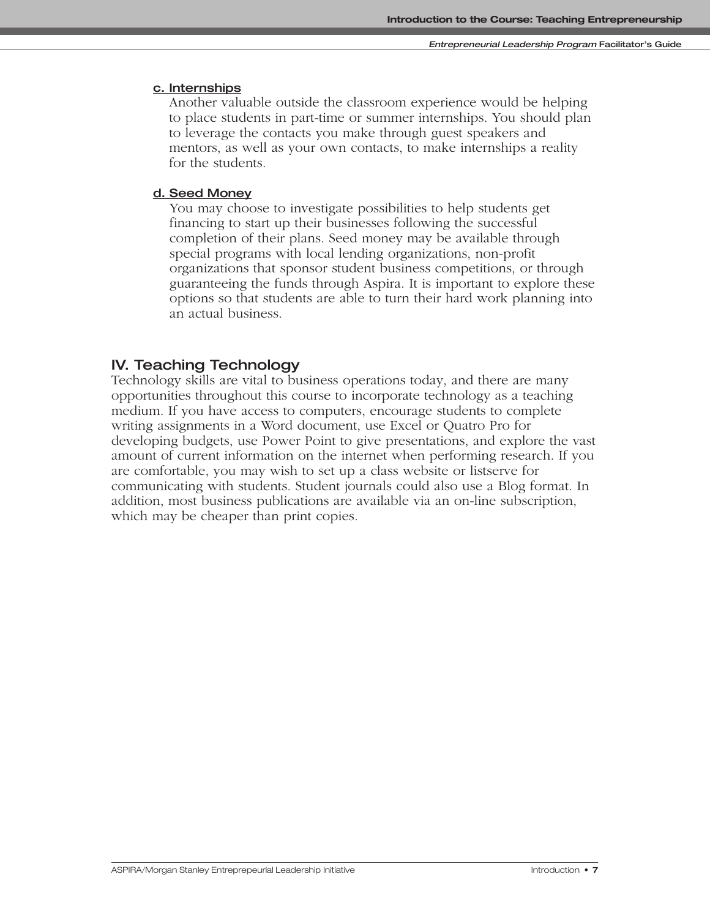#### **c. Internships**

Another valuable outside the classroom experience would be helping to place students in part-time or summer internships. You should plan to leverage the contacts you make through guest speakers and mentors, as well as your own contacts, to make internships a reality for the students.

#### **d. Seed Money**

You may choose to investigate possibilities to help students get financing to start up their businesses following the successful completion of their plans. Seed money may be available through special programs with local lending organizations, non-profit organizations that sponsor student business competitions, or through guaranteeing the funds through Aspira. It is important to explore these options so that students are able to turn their hard work planning into an actual business.

### **IV. Teaching Technology**

Technology skills are vital to business operations today, and there are many opportunities throughout this course to incorporate technology as a teaching medium. If you have access to computers, encourage students to complete writing assignments in a Word document, use Excel or Quatro Pro for developing budgets, use Power Point to give presentations, and explore the vast amount of current information on the internet when performing research. If you are comfortable, you may wish to set up a class website or listserve for communicating with students. Student journals could also use a Blog format. In addition, most business publications are available via an on-line subscription, which may be cheaper than print copies.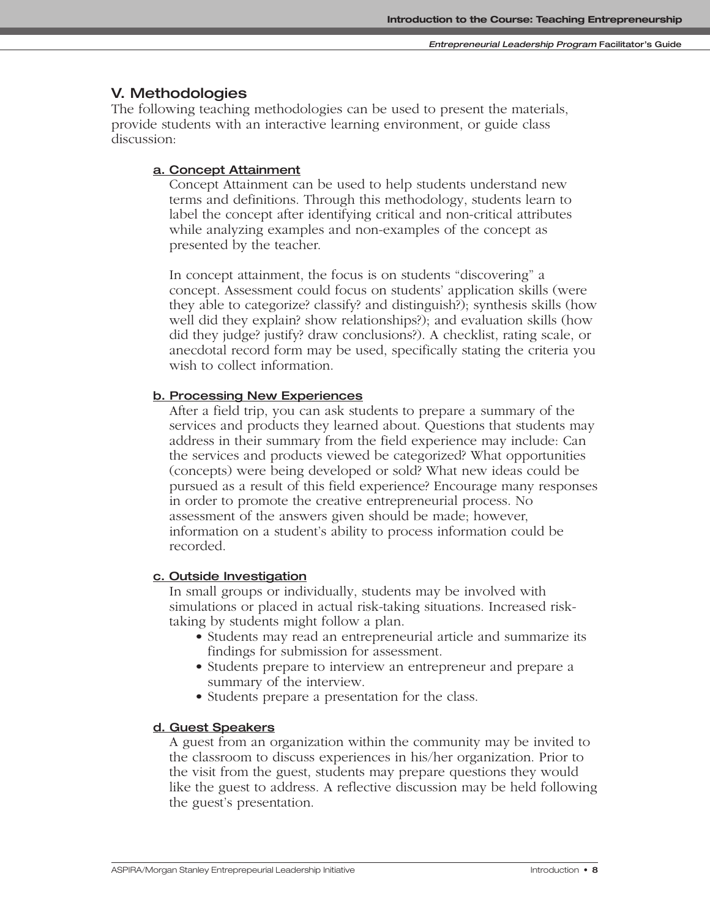# **V. Methodologies**

The following teaching methodologies can be used to present the materials, provide students with an interactive learning environment, or guide class discussion:

#### **a. Concept Attainment**

Concept Attainment can be used to help students understand new terms and definitions. Through this methodology, students learn to label the concept after identifying critical and non-critical attributes while analyzing examples and non-examples of the concept as presented by the teacher.

In concept attainment, the focus is on students "discovering" a concept. Assessment could focus on students' application skills (were they able to categorize? classify? and distinguish?); synthesis skills (how well did they explain? show relationships?); and evaluation skills (how did they judge? justify? draw conclusions?). A checklist, rating scale, or anecdotal record form may be used, specifically stating the criteria you wish to collect information.

#### **b. Processing New Experiences**

After a field trip, you can ask students to prepare a summary of the services and products they learned about. Questions that students may address in their summary from the field experience may include: Can the services and products viewed be categorized? What opportunities (concepts) were being developed or sold? What new ideas could be pursued as a result of this field experience? Encourage many responses in order to promote the creative entrepreneurial process. No assessment of the answers given should be made; however, information on a student's ability to process information could be recorded.

#### **c. Outside Investigation**

In small groups or individually, students may be involved with simulations or placed in actual risk-taking situations. Increased risktaking by students might follow a plan.

- Students may read an entrepreneurial article and summarize its findings for submission for assessment.
- Students prepare to interview an entrepreneur and prepare a summary of the interview.
- Students prepare a presentation for the class.

#### **d. Guest Speakers**

A guest from an organization within the community may be invited to the classroom to discuss experiences in his/her organization. Prior to the visit from the guest, students may prepare questions they would like the guest to address. A reflective discussion may be held following the guest's presentation.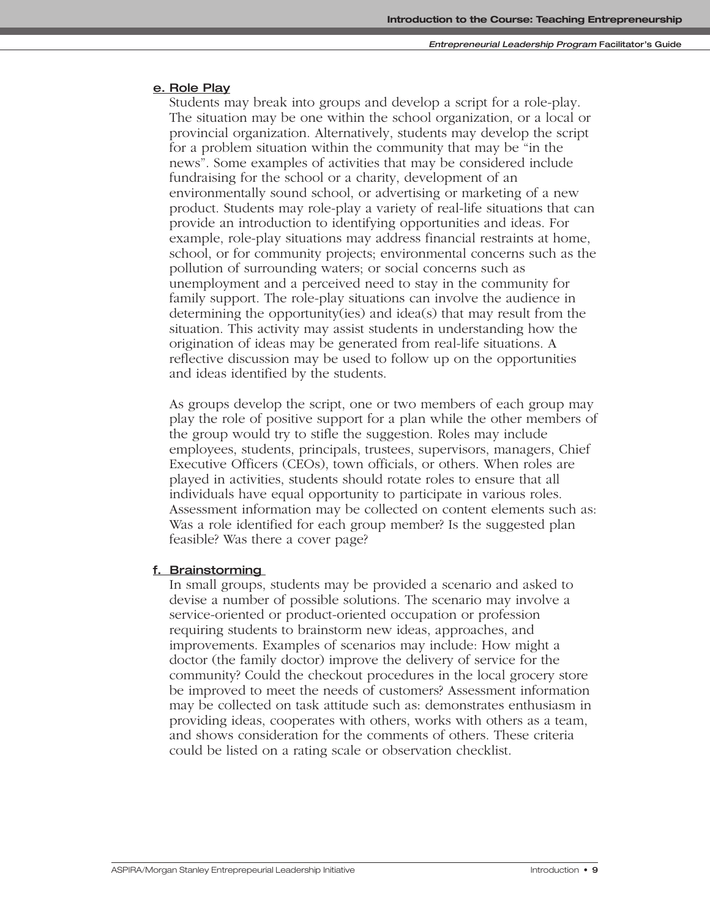#### **e. Role Play**

Students may break into groups and develop a script for a role-play. The situation may be one within the school organization, or a local or provincial organization. Alternatively, students may develop the script for a problem situation within the community that may be "in the news". Some examples of activities that may be considered include fundraising for the school or a charity, development of an environmentally sound school, or advertising or marketing of a new product. Students may role-play a variety of real-life situations that can provide an introduction to identifying opportunities and ideas. For example, role-play situations may address financial restraints at home, school, or for community projects; environmental concerns such as the pollution of surrounding waters; or social concerns such as unemployment and a perceived need to stay in the community for family support. The role-play situations can involve the audience in determining the opportunity(ies) and idea(s) that may result from the situation. This activity may assist students in understanding how the origination of ideas may be generated from real-life situations. A reflective discussion may be used to follow up on the opportunities and ideas identified by the students.

As groups develop the script, one or two members of each group may play the role of positive support for a plan while the other members of the group would try to stifle the suggestion. Roles may include employees, students, principals, trustees, supervisors, managers, Chief Executive Officers (CEOs), town officials, or others. When roles are played in activities, students should rotate roles to ensure that all individuals have equal opportunity to participate in various roles. Assessment information may be collected on content elements such as: Was a role identified for each group member? Is the suggested plan feasible? Was there a cover page?

#### **f. Brainstorming**

In small groups, students may be provided a scenario and asked to devise a number of possible solutions. The scenario may involve a service-oriented or product-oriented occupation or profession requiring students to brainstorm new ideas, approaches, and improvements. Examples of scenarios may include: How might a doctor (the family doctor) improve the delivery of service for the community? Could the checkout procedures in the local grocery store be improved to meet the needs of customers? Assessment information may be collected on task attitude such as: demonstrates enthusiasm in providing ideas, cooperates with others, works with others as a team, and shows consideration for the comments of others. These criteria could be listed on a rating scale or observation checklist.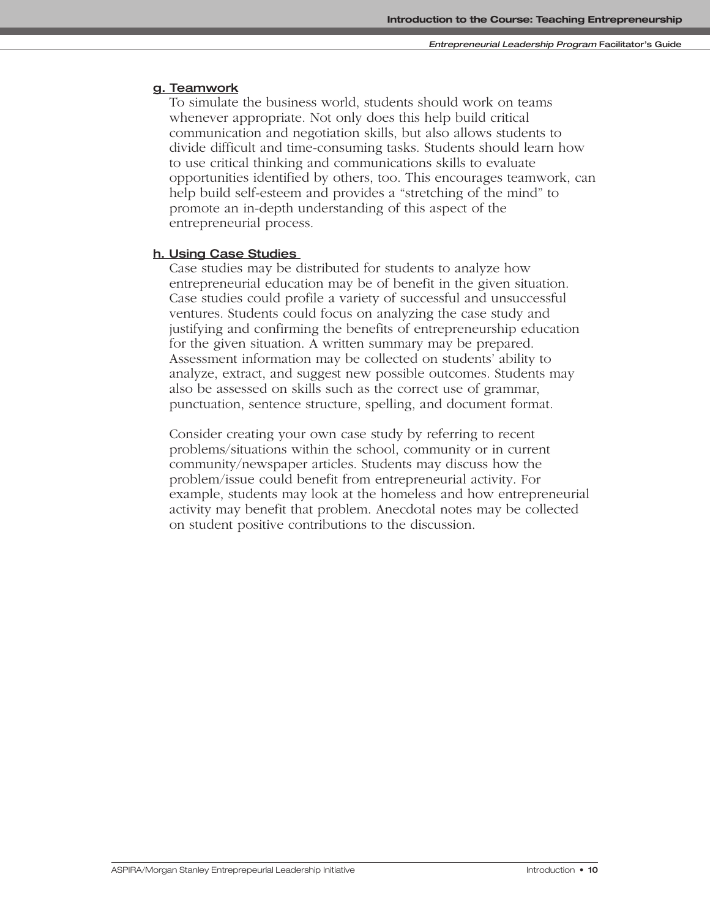#### **g. Teamwork**

To simulate the business world, students should work on teams whenever appropriate. Not only does this help build critical communication and negotiation skills, but also allows students to divide difficult and time-consuming tasks. Students should learn how to use critical thinking and communications skills to evaluate opportunities identified by others, too. This encourages teamwork, can help build self-esteem and provides a "stretching of the mind" to promote an in-depth understanding of this aspect of the entrepreneurial process.

#### **h. Using Case Studies**

Case studies may be distributed for students to analyze how entrepreneurial education may be of benefit in the given situation. Case studies could profile a variety of successful and unsuccessful ventures. Students could focus on analyzing the case study and justifying and confirming the benefits of entrepreneurship education for the given situation. A written summary may be prepared. Assessment information may be collected on students' ability to analyze, extract, and suggest new possible outcomes. Students may also be assessed on skills such as the correct use of grammar, punctuation, sentence structure, spelling, and document format.

Consider creating your own case study by referring to recent problems/situations within the school, community or in current community/newspaper articles. Students may discuss how the problem/issue could benefit from entrepreneurial activity. For example, students may look at the homeless and how entrepreneurial activity may benefit that problem. Anecdotal notes may be collected on student positive contributions to the discussion.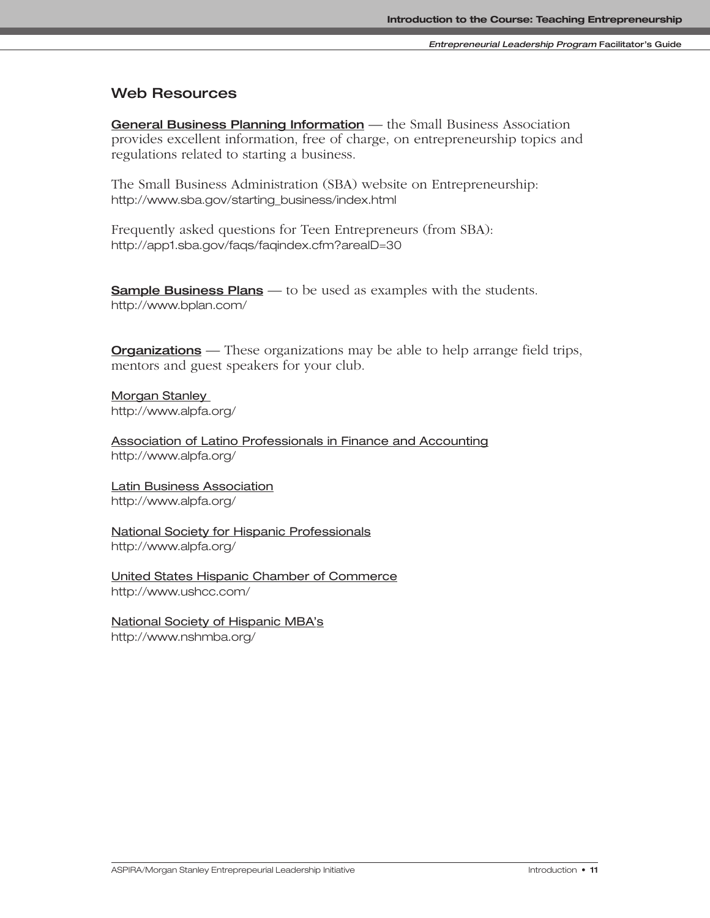# **Web Resources**

**General Business Planning Information** — the Small Business Association provides excellent information, free of charge, on entrepreneurship topics and regulations related to starting a business.

The Small Business Administration (SBA) website on Entrepreneurship: http://www.sba.gov/starting\_business/index.html

Frequently asked questions for Teen Entrepreneurs (from SBA): http://app1.sba.gov/faqs/faqindex.cfm?areaID=30

**Sample Business Plans** — to be used as examples with the students. http://www.bplan.com/

**Organizations** — These organizations may be able to help arrange field trips, mentors and guest speakers for your club.

**Morgan Stanley** http://www.alpfa.org/

Association of Latino Professionals in Finance and Accounting http://www.alpfa.org/

Latin Business Association http://www.alpfa.org/

National Society for Hispanic Professionals http://www.alpfa.org/

United States Hispanic Chamber of Commerce http://www.ushcc.com/

National Society of Hispanic MBA's http://www.nshmba.org/